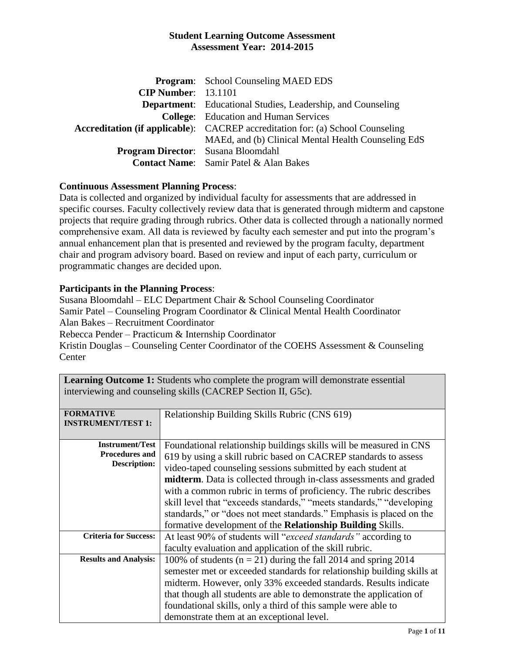|                                           | <b>Program:</b> School Counseling MAED EDS                                            |
|-------------------------------------------|---------------------------------------------------------------------------------------|
| <b>CIP Number: 13.1101</b>                |                                                                                       |
|                                           | <b>Department:</b> Educational Studies, Leadership, and Counseling                    |
|                                           | <b>College:</b> Education and Human Services                                          |
|                                           | <b>Accreditation (if applicable):</b> CACREP accreditation for: (a) School Counseling |
|                                           | MAEd, and (b) Clinical Mental Health Counseling EdS                                   |
| <b>Program Director:</b> Susana Bloomdahl |                                                                                       |
|                                           | <b>Contact Name:</b> Samir Patel & Alan Bakes                                         |

# **Continuous Assessment Planning Process**:

Data is collected and organized by individual faculty for assessments that are addressed in specific courses. Faculty collectively review data that is generated through midterm and capstone projects that require grading through rubrics. Other data is collected through a nationally normed comprehensive exam. All data is reviewed by faculty each semester and put into the program's annual enhancement plan that is presented and reviewed by the program faculty, department chair and program advisory board. Based on review and input of each party, curriculum or programmatic changes are decided upon.

# **Participants in the Planning Process**:

Susana Bloomdahl – ELC Department Chair & School Counseling Coordinator Samir Patel – Counseling Program Coordinator & Clinical Mental Health Coordinator Alan Bakes – Recruitment Coordinator Rebecca Pender – Practicum & Internship Coordinator Kristin Douglas – Counseling Center Coordinator of the COEHS Assessment & Counseling **Center** 

| <b>FORMATIVE</b><br><b>INSTRUMENT/TEST 1:</b> | Relationship Building Skills Rubric (CNS 619)                          |
|-----------------------------------------------|------------------------------------------------------------------------|
|                                               |                                                                        |
| <b>Instrument/Test</b>                        | Foundational relationship buildings skills will be measured in CNS     |
| <b>Procedures and</b>                         | 619 by using a skill rubric based on CACREP standards to assess        |
| <b>Description:</b>                           | video-taped counseling sessions submitted by each student at           |
|                                               | midterm. Data is collected through in-class assessments and graded     |
|                                               | with a common rubric in terms of proficiency. The rubric describes     |
|                                               | skill level that "exceeds standards," "meets standards," "developing   |
|                                               | standards," or "does not meet standards." Emphasis is placed on the    |
|                                               | formative development of the Relationship Building Skills.             |
| <b>Criteria for Success:</b>                  | At least 90% of students will " <i>exceed standards</i> " according to |
|                                               | faculty evaluation and application of the skill rubric.                |
| <b>Results and Analysis:</b>                  | 100% of students ( $n = 21$ ) during the fall 2014 and spring 2014     |
|                                               | semester met or exceeded standards for relationship building skills at |
|                                               | midterm. However, only 33% exceeded standards. Results indicate        |
|                                               | that though all students are able to demonstrate the application of    |
|                                               | foundational skills, only a third of this sample were able to          |
|                                               | demonstrate them at an exceptional level.                              |

**Learning Outcome 1:** Students who complete the program will demonstrate essential interviewing and counseling skills (CACREP Section II, G5c).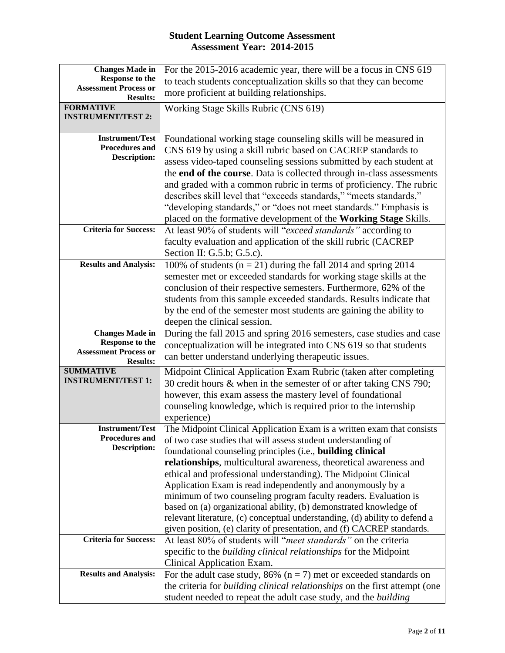| <b>Changes Made in</b>              | For the 2015-2016 academic year, there will be a focus in CNS 619                                                                       |  |  |
|-------------------------------------|-----------------------------------------------------------------------------------------------------------------------------------------|--|--|
| Response to the                     | to teach students conceptualization skills so that they can become                                                                      |  |  |
| <b>Assessment Process or</b>        | more proficient at building relationships.                                                                                              |  |  |
| <b>Results:</b><br><b>FORMATIVE</b> | Working Stage Skills Rubric (CNS 619)                                                                                                   |  |  |
| <b>INSTRUMENT/TEST 2:</b>           |                                                                                                                                         |  |  |
|                                     |                                                                                                                                         |  |  |
| <b>Instrument/Test</b>              | Foundational working stage counseling skills will be measured in                                                                        |  |  |
| <b>Procedures and</b>               | CNS 619 by using a skill rubric based on CACREP standards to                                                                            |  |  |
| <b>Description:</b>                 | assess video-taped counseling sessions submitted by each student at                                                                     |  |  |
|                                     | the end of the course. Data is collected through in-class assessments                                                                   |  |  |
|                                     | and graded with a common rubric in terms of proficiency. The rubric                                                                     |  |  |
|                                     | describes skill level that "exceeds standards," "meets standards,"                                                                      |  |  |
|                                     | "developing standards," or "does not meet standards." Emphasis is                                                                       |  |  |
|                                     | placed on the formative development of the Working Stage Skills.                                                                        |  |  |
| <b>Criteria for Success:</b>        | At least 90% of students will "exceed standards" according to                                                                           |  |  |
|                                     | faculty evaluation and application of the skill rubric (CACREP                                                                          |  |  |
|                                     | Section II: G.5.b; G.5.c).                                                                                                              |  |  |
| <b>Results and Analysis:</b>        | 100% of students ( $n = 21$ ) during the fall 2014 and spring 2014                                                                      |  |  |
|                                     | semester met or exceeded standards for working stage skills at the                                                                      |  |  |
|                                     | conclusion of their respective semesters. Furthermore, 62% of the                                                                       |  |  |
|                                     | students from this sample exceeded standards. Results indicate that                                                                     |  |  |
|                                     | by the end of the semester most students are gaining the ability to                                                                     |  |  |
|                                     | deepen the clinical session.                                                                                                            |  |  |
| <b>Changes Made in</b>              | During the fall 2015 and spring 2016 semesters, case studies and case                                                                   |  |  |
| <b>Response to the</b>              | conceptualization will be integrated into CNS 619 so that students                                                                      |  |  |
| <b>Assessment Process or</b>        | can better understand underlying therapeutic issues.                                                                                    |  |  |
| <b>Results:</b><br><b>SUMMATIVE</b> |                                                                                                                                         |  |  |
| <b>INSTRUMENT/TEST 1:</b>           | Midpoint Clinical Application Exam Rubric (taken after completing<br>30 credit hours & when in the semester of or after taking CNS 790; |  |  |
|                                     | however, this exam assess the mastery level of foundational                                                                             |  |  |
|                                     | counseling knowledge, which is required prior to the internship                                                                         |  |  |
|                                     | experience)                                                                                                                             |  |  |
| <b>Instrument/Test</b>              | The Midpoint Clinical Application Exam is a written exam that consists                                                                  |  |  |
| <b>Procedures and</b>               | of two case studies that will assess student understanding of                                                                           |  |  |
| <b>Description:</b>                 | foundational counseling principles (i.e., building clinical                                                                             |  |  |
|                                     | relationships, multicultural awareness, theoretical awareness and                                                                       |  |  |
|                                     | ethical and professional understanding). The Midpoint Clinical                                                                          |  |  |
|                                     | Application Exam is read independently and anonymously by a                                                                             |  |  |
|                                     | minimum of two counseling program faculty readers. Evaluation is                                                                        |  |  |
|                                     | based on (a) organizational ability, (b) demonstrated knowledge of                                                                      |  |  |
|                                     | relevant literature, (c) conceptual understanding, (d) ability to defend a                                                              |  |  |
|                                     | given position, (e) clarity of presentation, and (f) CACREP standards.                                                                  |  |  |
| <b>Criteria for Success:</b>        | At least 80% of students will "meet standards" on the criteria                                                                          |  |  |
|                                     | specific to the <i>building clinical relationships</i> for the Midpoint                                                                 |  |  |
|                                     | Clinical Application Exam.                                                                                                              |  |  |
| <b>Results and Analysis:</b>        | For the adult case study, 86% ( $n = 7$ ) met or exceeded standards on                                                                  |  |  |
|                                     | the criteria for <i>building clinical relationships</i> on the first attempt (one                                                       |  |  |
|                                     | student needed to repeat the adult case study, and the building                                                                         |  |  |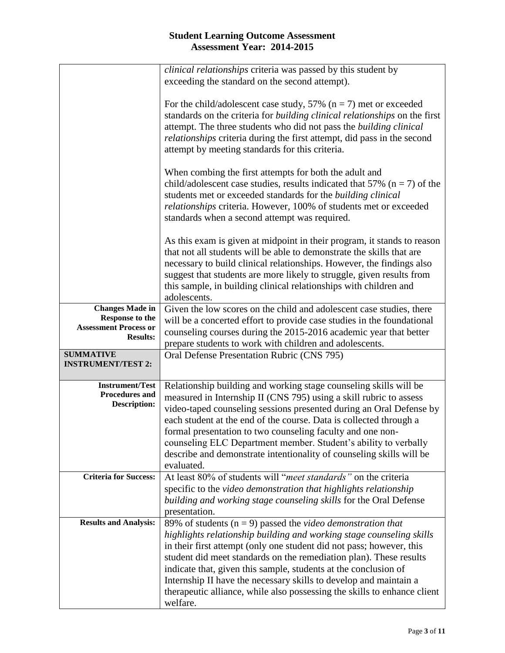|                                                                                                     | <i>clinical relationships</i> criteria was passed by this student by<br>exceeding the standard on the second attempt).                                                                                                                                                                                                                                                                                                                                                                                                |
|-----------------------------------------------------------------------------------------------------|-----------------------------------------------------------------------------------------------------------------------------------------------------------------------------------------------------------------------------------------------------------------------------------------------------------------------------------------------------------------------------------------------------------------------------------------------------------------------------------------------------------------------|
|                                                                                                     | For the child/adolescent case study, 57% ( $n = 7$ ) met or exceeded<br>standards on the criteria for <i>building clinical relationships</i> on the first<br>attempt. The three students who did not pass the <i>building clinical</i><br><i>relationships</i> criteria during the first attempt, did pass in the second<br>attempt by meeting standards for this criteria.                                                                                                                                           |
|                                                                                                     | When combing the first attempts for both the adult and<br>child/adolescent case studies, results indicated that 57% ( $n = 7$ ) of the<br>students met or exceeded standards for the <i>building clinical</i><br>relationships criteria. However, 100% of students met or exceeded<br>standards when a second attempt was required.                                                                                                                                                                                   |
|                                                                                                     | As this exam is given at midpoint in their program, it stands to reason<br>that not all students will be able to demonstrate the skills that are<br>necessary to build clinical relationships. However, the findings also<br>suggest that students are more likely to struggle, given results from<br>this sample, in building clinical relationships with children and<br>adolescents.                                                                                                                               |
| <b>Changes Made in</b><br><b>Response to the</b><br><b>Assessment Process or</b><br><b>Results:</b> | Given the low scores on the child and adolescent case studies, there<br>will be a concerted effort to provide case studies in the foundational<br>counseling courses during the 2015-2016 academic year that better<br>prepare students to work with children and adolescents.                                                                                                                                                                                                                                        |
| <b>SUMMATIVE</b><br><b>INSTRUMENT/TEST 2:</b>                                                       | Oral Defense Presentation Rubric (CNS 795)                                                                                                                                                                                                                                                                                                                                                                                                                                                                            |
| <b>Instrument/Test</b><br><b>Procedures and</b><br><b>Description:</b>                              | Relationship building and working stage counseling skills will be<br>measured in Internship II (CNS 795) using a skill rubric to assess<br>video-taped counseling sessions presented during an Oral Defense by<br>each student at the end of the course. Data is collected through a<br>formal presentation to two counseling faculty and one non-<br>counseling ELC Department member. Student's ability to verbally<br>describe and demonstrate intentionality of counseling skills will be<br>evaluated.           |
| <b>Criteria for Success:</b>                                                                        | At least 80% of students will " <i>meet standards</i> " on the criteria<br>specific to the video demonstration that highlights relationship<br>building and working stage counseling skills for the Oral Defense<br>presentation.                                                                                                                                                                                                                                                                                     |
| <b>Results and Analysis:</b>                                                                        | 89% of students ( $n = 9$ ) passed the video demonstration that<br>highlights relationship building and working stage counseling skills<br>in their first attempt (only one student did not pass; however, this<br>student did meet standards on the remediation plan). These results<br>indicate that, given this sample, students at the conclusion of<br>Internship II have the necessary skills to develop and maintain a<br>therapeutic alliance, while also possessing the skills to enhance client<br>welfare. |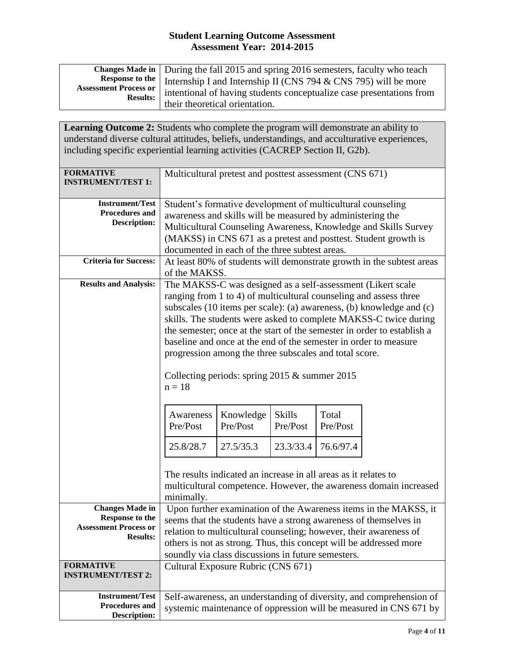|                                | Changes Made in   During the fall 2015 and spring 2016 semesters, faculty who teach       |
|--------------------------------|-------------------------------------------------------------------------------------------|
|                                | <b>Response to the</b> Internship I and Internship II (CNS 794 $\&$ CNS 795) will be more |
| <b>Assessment Process or  </b> | intentional of having students conceptualize case presentations from                      |
| <b>Results:</b>                | their theoretical orientation.                                                            |

**Learning Outcome 2:** Students who complete the program will demonstrate an ability to understand diverse cultural attitudes, beliefs, understandings, and acculturative experiences, including specific experiential learning activities (CACREP Section II, G2b).

| <b>FORMATIVE</b><br><b>INSTRUMENT/TEST 1:</b>                                                       | Multicultural pretest and posttest assessment (CNS 671)                                                                                                                                                                                                                                                                                                                                                                                                                                                                                                                                                                                                                                                         |                                                                 |  |                                                                                                                                          |
|-----------------------------------------------------------------------------------------------------|-----------------------------------------------------------------------------------------------------------------------------------------------------------------------------------------------------------------------------------------------------------------------------------------------------------------------------------------------------------------------------------------------------------------------------------------------------------------------------------------------------------------------------------------------------------------------------------------------------------------------------------------------------------------------------------------------------------------|-----------------------------------------------------------------|--|------------------------------------------------------------------------------------------------------------------------------------------|
| <b>Instrument/Test</b><br><b>Procedures and</b><br><b>Description:</b>                              | Student's formative development of multicultural counseling<br>awareness and skills will be measured by administering the<br>Multicultural Counseling Awareness, Knowledge and Skills Survey<br>(MAKSS) in CNS 671 as a pretest and posttest. Student growth is<br>documented in each of the three subtest areas.                                                                                                                                                                                                                                                                                                                                                                                               |                                                                 |  |                                                                                                                                          |
| <b>Criteria for Success:</b>                                                                        | At least 80% of students will demonstrate growth in the subtest areas<br>of the MAKSS.                                                                                                                                                                                                                                                                                                                                                                                                                                                                                                                                                                                                                          |                                                                 |  |                                                                                                                                          |
| <b>Results and Analysis:</b>                                                                        | The MAKSS-C was designed as a self-assessment (Likert scale<br>ranging from 1 to 4) of multicultural counseling and assess three<br>subscales (10 items per scale): (a) awareness, (b) knowledge and (c)<br>skills. The students were asked to complete MAKSS-C twice during<br>the semester; once at the start of the semester in order to establish a<br>baseline and once at the end of the semester in order to measure<br>progression among the three subscales and total score.<br>Collecting periods: spring $2015 \&$ summer $2015$<br>$n = 18$<br><b>Skills</b><br>Total<br>Knowledge<br>Awareness<br>Pre/Post<br>Pre/Post<br>Pre/Post<br>Pre/Post<br>25.8/28.7<br>27.5/35.3<br>23.3/33.4<br>76.6/97.4 |                                                                 |  |                                                                                                                                          |
|                                                                                                     | minimally.                                                                                                                                                                                                                                                                                                                                                                                                                                                                                                                                                                                                                                                                                                      | The results indicated an increase in all areas as it relates to |  | multicultural competence. However, the awareness domain increased                                                                        |
| <b>Changes Made in</b><br><b>Response to the</b><br><b>Assessment Process or</b><br><b>Results:</b> | Upon further examination of the Awareness items in the MAKSS, it<br>seems that the students have a strong awareness of themselves in<br>relation to multicultural counseling; however, their awareness of<br>others is not as strong. Thus, this concept will be addressed more<br>soundly via class discussions in future semesters.                                                                                                                                                                                                                                                                                                                                                                           |                                                                 |  |                                                                                                                                          |
| <b>FORMATIVE</b><br><b>INSTRUMENT/TEST 2:</b>                                                       | Cultural Exposure Rubric (CNS 671)                                                                                                                                                                                                                                                                                                                                                                                                                                                                                                                                                                                                                                                                              |                                                                 |  |                                                                                                                                          |
| <b>Instrument/Test</b><br>Procedures and<br><b>Description:</b>                                     |                                                                                                                                                                                                                                                                                                                                                                                                                                                                                                                                                                                                                                                                                                                 |                                                                 |  | Self-awareness, an understanding of diversity, and comprehension of<br>systemic maintenance of oppression will be measured in CNS 671 by |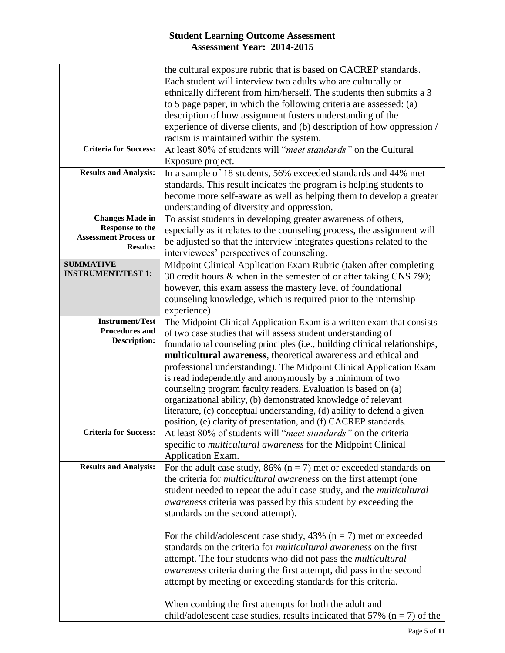|                              | the cultural exposure rubric that is based on CACREP standards.              |
|------------------------------|------------------------------------------------------------------------------|
|                              | Each student will interview two adults who are culturally or                 |
|                              | ethnically different from him/herself. The students then submits a 3         |
|                              | to 5 page paper, in which the following criteria are assessed: (a)           |
|                              | description of how assignment fosters understanding of the                   |
|                              | experience of diverse clients, and (b) description of how oppression /       |
|                              | racism is maintained within the system.                                      |
| <b>Criteria for Success:</b> | At least 80% of students will "meet standards" on the Cultural               |
|                              | Exposure project.                                                            |
| <b>Results and Analysis:</b> | In a sample of 18 students, 56% exceeded standards and 44% met               |
|                              | standards. This result indicates the program is helping students to          |
|                              | become more self-aware as well as helping them to develop a greater          |
|                              | understanding of diversity and oppression.                                   |
| <b>Changes Made in</b>       | To assist students in developing greater awareness of others,                |
| <b>Response to the</b>       | especially as it relates to the counseling process, the assignment will      |
| <b>Assessment Process or</b> | be adjusted so that the interview integrates questions related to the        |
| <b>Results:</b>              | interviewees' perspectives of counseling.                                    |
| <b>SUMMATIVE</b>             | Midpoint Clinical Application Exam Rubric (taken after completing            |
| <b>INSTRUMENT/TEST 1:</b>    | 30 credit hours & when in the semester of or after taking CNS 790;           |
|                              | however, this exam assess the mastery level of foundational                  |
|                              | counseling knowledge, which is required prior to the internship              |
|                              | experience)                                                                  |
| <b>Instrument/Test</b>       | The Midpoint Clinical Application Exam is a written exam that consists       |
| <b>Procedures and</b>        | of two case studies that will assess student understanding of                |
| <b>Description:</b>          | foundational counseling principles (i.e., building clinical relationships,   |
|                              | multicultural awareness, theoretical awareness and ethical and               |
|                              | professional understanding). The Midpoint Clinical Application Exam          |
|                              | is read independently and anonymously by a minimum of two                    |
|                              | counseling program faculty readers. Evaluation is based on (a)               |
|                              | organizational ability, (b) demonstrated knowledge of relevant               |
|                              | literature, (c) conceptual understanding, (d) ability to defend a given      |
|                              | position, (e) clarity of presentation, and (f) CACREP standards.             |
| <b>Criteria for Success:</b> | At least 80% of students will " <i>meet standards</i> " on the criteria      |
|                              | specific to <i>multicultural awareness</i> for the Midpoint Clinical         |
|                              | Application Exam.                                                            |
| <b>Results and Analysis:</b> | For the adult case study, 86% ( $n = 7$ ) met or exceeded standards on       |
|                              | the criteria for <i>multicultural awareness</i> on the first attempt (one    |
|                              | student needed to repeat the adult case study, and the <i>multicultural</i>  |
|                              | <i>awareness</i> criteria was passed by this student by exceeding the        |
|                              | standards on the second attempt).                                            |
|                              |                                                                              |
|                              | For the child/adolescent case study, 43% ( $n = 7$ ) met or exceeded         |
|                              | standards on the criteria for <i>multicultural awareness</i> on the first    |
|                              | attempt. The four students who did not pass the <i>multicultural</i>         |
|                              | <i>awareness</i> criteria during the first attempt, did pass in the second   |
|                              | attempt by meeting or exceeding standards for this criteria.                 |
|                              |                                                                              |
|                              | When combing the first attempts for both the adult and                       |
|                              | child/adolescent case studies, results indicated that 57% ( $n = 7$ ) of the |
|                              |                                                                              |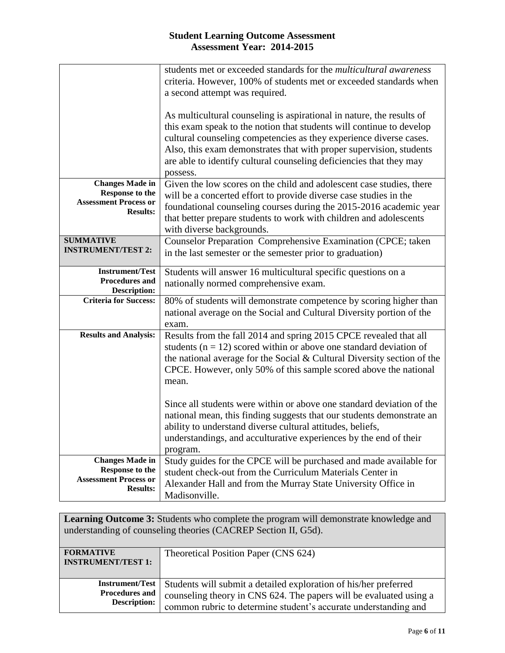|                                                                                                     | students met or exceeded standards for the <i>multicultural awareness</i><br>criteria. However, 100% of students met or exceeded standards when<br>a second attempt was required.                                                                                                                                                                                             |
|-----------------------------------------------------------------------------------------------------|-------------------------------------------------------------------------------------------------------------------------------------------------------------------------------------------------------------------------------------------------------------------------------------------------------------------------------------------------------------------------------|
|                                                                                                     | As multicultural counseling is aspirational in nature, the results of<br>this exam speak to the notion that students will continue to develop<br>cultural counseling competencies as they experience diverse cases.<br>Also, this exam demonstrates that with proper supervision, students<br>are able to identify cultural counseling deficiencies that they may<br>possess. |
| <b>Changes Made in</b><br><b>Response to the</b><br><b>Assessment Process or</b><br><b>Results:</b> | Given the low scores on the child and adolescent case studies, there<br>will be a concerted effort to provide diverse case studies in the<br>foundational counseling courses during the 2015-2016 academic year<br>that better prepare students to work with children and adolescents<br>with diverse backgrounds.                                                            |
| <b>SUMMATIVE</b><br><b>INSTRUMENT/TEST 2:</b>                                                       | Counselor Preparation Comprehensive Examination (CPCE; taken<br>in the last semester or the semester prior to graduation)                                                                                                                                                                                                                                                     |
| <b>Instrument/Test</b><br>Procedures and<br><b>Description:</b>                                     | Students will answer 16 multicultural specific questions on a<br>nationally normed comprehensive exam.                                                                                                                                                                                                                                                                        |
| <b>Criteria for Success:</b>                                                                        | 80% of students will demonstrate competence by scoring higher than<br>national average on the Social and Cultural Diversity portion of the<br>exam.                                                                                                                                                                                                                           |
| <b>Results and Analysis:</b>                                                                        | Results from the fall 2014 and spring 2015 CPCE revealed that all<br>students ( $n = 12$ ) scored within or above one standard deviation of<br>the national average for the Social $&$ Cultural Diversity section of the<br>CPCE. However, only 50% of this sample scored above the national<br>mean.                                                                         |
|                                                                                                     | Since all students were within or above one standard deviation of the<br>national mean, this finding suggests that our students demonstrate an<br>ability to understand diverse cultural attitudes, beliefs,<br>understandings, and acculturative experiences by the end of their<br>program.                                                                                 |
| <b>Changes Made in</b><br><b>Response to the</b><br><b>Assessment Process or</b><br><b>Results:</b> | Study guides for the CPCE will be purchased and made available for<br>student check-out from the Curriculum Materials Center in<br>Alexander Hall and from the Murray State University Office in<br>Madisonville.                                                                                                                                                             |

**Learning Outcome 3:** Students who complete the program will demonstrate knowledge and understanding of counseling theories (CACREP Section II, G5d).

| <b>FORMATIVE</b><br><b>INSTRUMENT/TEST 1:</b> | Theoretical Position Paper (CNS 624)                               |
|-----------------------------------------------|--------------------------------------------------------------------|
| <b>Instrument/Test</b>                        | Students will submit a detailed exploration of his/her preferred   |
| <b>Procedures and</b>                         | counseling theory in CNS 624. The papers will be evaluated using a |
| <b>Description:</b>                           | common rubric to determine student's accurate understanding and    |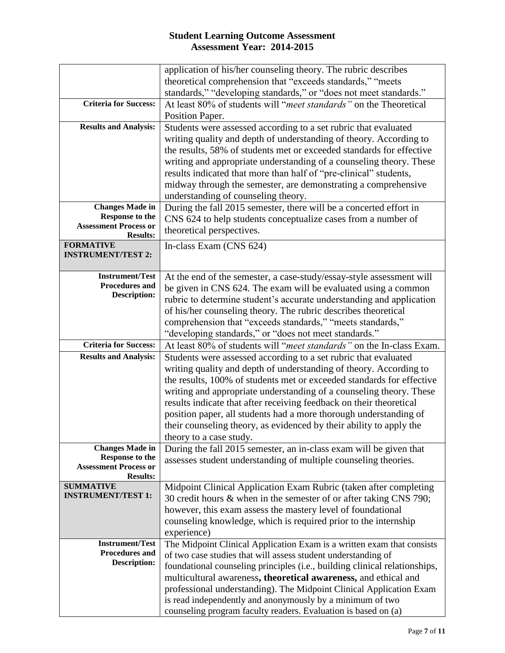|                                                  | application of his/her counseling theory. The rubric describes                                                              |
|--------------------------------------------------|-----------------------------------------------------------------------------------------------------------------------------|
|                                                  | theoretical comprehension that "exceeds standards," "meets"                                                                 |
|                                                  | standards," "developing standards," or "does not meet standards."                                                           |
| <b>Criteria for Success:</b>                     | At least 80% of students will "meet standards" on the Theoretical                                                           |
|                                                  | Position Paper.                                                                                                             |
| <b>Results and Analysis:</b>                     | Students were assessed according to a set rubric that evaluated                                                             |
|                                                  | writing quality and depth of understanding of theory. According to                                                          |
|                                                  | the results, 58% of students met or exceeded standards for effective                                                        |
|                                                  | writing and appropriate understanding of a counseling theory. These                                                         |
|                                                  | results indicated that more than half of "pre-clinical" students,                                                           |
|                                                  | midway through the semester, are demonstrating a comprehensive                                                              |
|                                                  |                                                                                                                             |
| <b>Changes Made in</b>                           | understanding of counseling theory.                                                                                         |
| <b>Response to the</b>                           | During the fall 2015 semester, there will be a concerted effort in                                                          |
| <b>Assessment Process or</b>                     | CNS 624 to help students conceptualize cases from a number of                                                               |
| <b>Results:</b>                                  | theoretical perspectives.                                                                                                   |
| <b>FORMATIVE</b>                                 | In-class Exam (CNS 624)                                                                                                     |
| <b>INSTRUMENT/TEST 2:</b>                        |                                                                                                                             |
|                                                  |                                                                                                                             |
| <b>Instrument/Test</b>                           | At the end of the semester, a case-study/essay-style assessment will                                                        |
| Procedures and                                   | be given in CNS 624. The exam will be evaluated using a common                                                              |
| <b>Description:</b>                              | rubric to determine student's accurate understanding and application                                                        |
|                                                  | of his/her counseling theory. The rubric describes theoretical                                                              |
|                                                  | comprehension that "exceeds standards," "meets standards,"                                                                  |
|                                                  | "developing standards," or "does not meet standards."                                                                       |
| <b>Criteria for Success:</b>                     | At least 80% of students will "meet standards" on the In-class Exam.                                                        |
|                                                  |                                                                                                                             |
| <b>Results and Analysis:</b>                     |                                                                                                                             |
|                                                  | Students were assessed according to a set rubric that evaluated                                                             |
|                                                  | writing quality and depth of understanding of theory. According to                                                          |
|                                                  | the results, 100% of students met or exceeded standards for effective                                                       |
|                                                  | writing and appropriate understanding of a counseling theory. These                                                         |
|                                                  | results indicate that after receiving feedback on their theoretical                                                         |
|                                                  | position paper, all students had a more thorough understanding of                                                           |
|                                                  | their counseling theory, as evidenced by their ability to apply the                                                         |
|                                                  | theory to a case study.                                                                                                     |
| <b>Changes Made in</b><br><b>Response to the</b> | During the fall 2015 semester, an in-class exam will be given that                                                          |
| <b>Assessment Process or</b>                     | assesses student understanding of multiple counseling theories.                                                             |
| <b>Results:</b>                                  |                                                                                                                             |
| <b>SUMMATIVE</b>                                 | Midpoint Clinical Application Exam Rubric (taken after completing                                                           |
| <b>INSTRUMENT/TEST 1:</b>                        | 30 credit hours & when in the semester of or after taking CNS 790;                                                          |
|                                                  | however, this exam assess the mastery level of foundational                                                                 |
|                                                  | counseling knowledge, which is required prior to the internship                                                             |
|                                                  | experience)                                                                                                                 |
| <b>Instrument/Test</b>                           | The Midpoint Clinical Application Exam is a written exam that consists                                                      |
| Procedures and                                   | of two case studies that will assess student understanding of                                                               |
| <b>Description:</b>                              | foundational counseling principles (i.e., building clinical relationships,                                                  |
|                                                  | multicultural awareness, theoretical awareness, and ethical and                                                             |
|                                                  | professional understanding). The Midpoint Clinical Application Exam                                                         |
|                                                  | is read independently and anonymously by a minimum of two<br>counseling program faculty readers. Evaluation is based on (a) |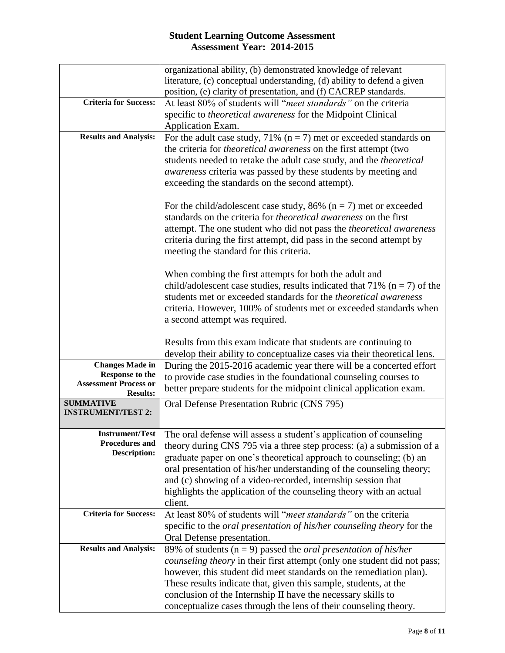|                                                 | organizational ability, (b) demonstrated knowledge of relevant                       |
|-------------------------------------------------|--------------------------------------------------------------------------------------|
|                                                 | literature, (c) conceptual understanding, (d) ability to defend a given              |
|                                                 | position, (e) clarity of presentation, and (f) CACREP standards.                     |
| <b>Criteria for Success:</b>                    | At least 80% of students will "meet standards" on the criteria                       |
|                                                 | specific to theoretical awareness for the Midpoint Clinical                          |
|                                                 | Application Exam.                                                                    |
| <b>Results and Analysis:</b>                    | For the adult case study, 71% ( $n = 7$ ) met or exceeded standards on               |
|                                                 | the criteria for <i>theoretical awareness</i> on the first attempt (two              |
|                                                 | students needed to retake the adult case study, and the <i>theoretical</i>           |
|                                                 | <i>awareness</i> criteria was passed by these students by meeting and                |
|                                                 | exceeding the standards on the second attempt).                                      |
|                                                 |                                                                                      |
|                                                 | For the child/adolescent case study, 86% ( $n = 7$ ) met or exceeded                 |
|                                                 | standards on the criteria for <i>theoretical awareness</i> on the first              |
|                                                 | attempt. The one student who did not pass the theoretical awareness                  |
|                                                 | criteria during the first attempt, did pass in the second attempt by                 |
|                                                 | meeting the standard for this criteria.                                              |
|                                                 |                                                                                      |
|                                                 | When combing the first attempts for both the adult and                               |
|                                                 | child/adolescent case studies, results indicated that 71% ( $n = 7$ ) of the         |
|                                                 | students met or exceeded standards for the <i>theoretical awareness</i>              |
|                                                 | criteria. However, 100% of students met or exceeded standards when                   |
|                                                 | a second attempt was required.                                                       |
|                                                 |                                                                                      |
|                                                 | Results from this exam indicate that students are continuing to                      |
|                                                 | develop their ability to conceptualize cases via their theoretical lens.             |
| <b>Changes Made in</b>                          | During the 2015-2016 academic year there will be a concerted effort                  |
| Response to the<br><b>Assessment Process or</b> | to provide case studies in the foundational counseling courses to                    |
| <b>Results:</b>                                 | better prepare students for the midpoint clinical application exam.                  |
| <b>SUMMATIVE</b>                                | Oral Defense Presentation Rubric (CNS 795)                                           |
| <b>INSTRUMENT/TEST 2:</b>                       |                                                                                      |
|                                                 |                                                                                      |
| Procedures and                                  | Instrument/Test   The oral defense will assess a student's application of counseling |
| <b>Description:</b>                             | theory during CNS 795 via a three step process: (a) a submission of a                |
|                                                 | graduate paper on one's theoretical approach to counseling; (b) an                   |
|                                                 | oral presentation of his/her understanding of the counseling theory;                 |
|                                                 | and (c) showing of a video-recorded, internship session that                         |
|                                                 | highlights the application of the counseling theory with an actual                   |
|                                                 | client.                                                                              |
| <b>Criteria for Success:</b>                    | At least 80% of students will "meet standards" on the criteria                       |
|                                                 | specific to the <i>oral presentation of his/her counseling theory</i> for the        |
|                                                 | Oral Defense presentation.                                                           |
| <b>Results and Analysis:</b>                    | 89% of students ( $n = 9$ ) passed the <i>oral presentation of his/her</i>           |
|                                                 | counseling theory in their first attempt (only one student did not pass;             |
|                                                 | however, this student did meet standards on the remediation plan).                   |
|                                                 | These results indicate that, given this sample, students, at the                     |
|                                                 | conclusion of the Internship II have the necessary skills to                         |
|                                                 |                                                                                      |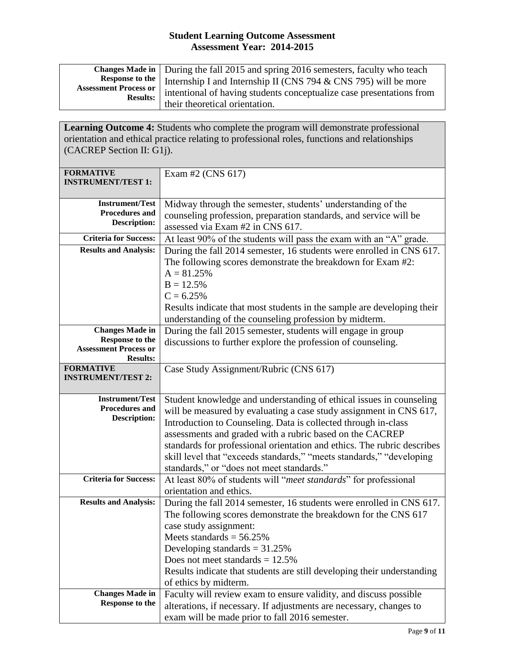| Changes Made in   During the fall 2015 and spring 2016 semesters, faculty who teach        |
|--------------------------------------------------------------------------------------------|
| <b>Response to the</b> Internship I and Internship II (CNS 794 $\&$ CNS 795) will be more  |
| Assessment Process or intentional of having students conceptualize case presentations from |
| their theoretical orientation.                                                             |

**Learning Outcome 4:** Students who complete the program will demonstrate professional orientation and ethical practice relating to professional roles, functions and relationships (CACREP Section II: G1j).

| <b>FORMATIVE</b>                                | Exam #2 (CNS $617$ )                                                    |
|-------------------------------------------------|-------------------------------------------------------------------------|
| <b>INSTRUMENT/TEST 1:</b>                       |                                                                         |
|                                                 |                                                                         |
| <b>Instrument/Test</b><br><b>Procedures and</b> | Midway through the semester, students' understanding of the             |
| <b>Description:</b>                             | counseling profession, preparation standards, and service will be       |
|                                                 | assessed via Exam #2 in CNS 617.                                        |
| <b>Criteria for Success:</b>                    | At least 90% of the students will pass the exam with an "A" grade.      |
| <b>Results and Analysis:</b>                    | During the fall 2014 semester, 16 students were enrolled in CNS 617.    |
|                                                 | The following scores demonstrate the breakdown for Exam #2:             |
|                                                 | $A = 81.25%$                                                            |
|                                                 | $B = 12.5%$                                                             |
|                                                 | $C = 6.25%$                                                             |
|                                                 | Results indicate that most students in the sample are developing their  |
|                                                 | understanding of the counseling profession by midterm.                  |
| <b>Changes Made in</b>                          | During the fall 2015 semester, students will engage in group            |
| Response to the                                 | discussions to further explore the profession of counseling.            |
| <b>Assessment Process or</b>                    |                                                                         |
| <b>Results:</b><br><b>FORMATIVE</b>             | Case Study Assignment/Rubric (CNS 617)                                  |
| <b>INSTRUMENT/TEST 2:</b>                       |                                                                         |
|                                                 |                                                                         |
| <b>Instrument/Test</b>                          | Student knowledge and understanding of ethical issues in counseling     |
| <b>Procedures and</b>                           | will be measured by evaluating a case study assignment in CNS 617,      |
| <b>Description:</b>                             | Introduction to Counseling. Data is collected through in-class          |
|                                                 | assessments and graded with a rubric based on the CACREP                |
|                                                 | standards for professional orientation and ethics. The rubric describes |
|                                                 | skill level that "exceeds standards," "meets standards," "developing    |
|                                                 | standards," or "does not meet standards."                               |
| <b>Criteria for Success:</b>                    | At least 80% of students will "meet standards" for professional         |
|                                                 | orientation and ethics.                                                 |
| <b>Results and Analysis:</b>                    | During the fall 2014 semester, 16 students were enrolled in CNS 617.    |
|                                                 | The following scores demonstrate the breakdown for the CNS 617          |
|                                                 | case study assignment:                                                  |
|                                                 | Meets standards = $56.25\%$                                             |
|                                                 | Developing standards $= 31.25\%$                                        |
|                                                 | Does not meet standards $= 12.5\%$                                      |
|                                                 | Results indicate that students are still developing their understanding |
|                                                 | of ethics by midterm.                                                   |
| <b>Changes Made in</b>                          | Faculty will review exam to ensure validity, and discuss possible       |
| <b>Response to the</b>                          | alterations, if necessary. If adjustments are necessary, changes to     |
|                                                 | exam will be made prior to fall 2016 semester.                          |
|                                                 |                                                                         |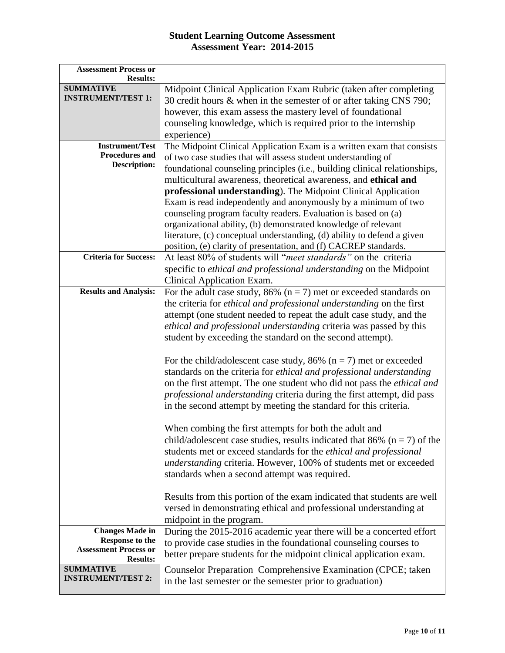| <b>Assessment Process or</b>                  |                                                                               |
|-----------------------------------------------|-------------------------------------------------------------------------------|
| <b>Results:</b>                               |                                                                               |
| <b>SUMMATIVE</b><br><b>INSTRUMENT/TEST 1:</b> | Midpoint Clinical Application Exam Rubric (taken after completing             |
|                                               | 30 credit hours & when in the semester of or after taking CNS 790;            |
|                                               | however, this exam assess the mastery level of foundational                   |
|                                               | counseling knowledge, which is required prior to the internship               |
|                                               | experience)                                                                   |
| <b>Instrument/Test</b>                        | The Midpoint Clinical Application Exam is a written exam that consists        |
| <b>Procedures and</b>                         | of two case studies that will assess student understanding of                 |
| <b>Description:</b>                           | foundational counseling principles (i.e., building clinical relationships,    |
|                                               | multicultural awareness, theoretical awareness, and ethical and               |
|                                               | professional understanding). The Midpoint Clinical Application                |
|                                               | Exam is read independently and anonymously by a minimum of two                |
|                                               | counseling program faculty readers. Evaluation is based on (a)                |
|                                               | organizational ability, (b) demonstrated knowledge of relevant                |
|                                               | literature, (c) conceptual understanding, (d) ability to defend a given       |
|                                               | position, (e) clarity of presentation, and (f) CACREP standards.              |
| <b>Criteria for Success:</b>                  | At least 80% of students will "meet standards" on the criteria                |
|                                               | specific to ethical and professional understanding on the Midpoint            |
|                                               | Clinical Application Exam.                                                    |
| <b>Results and Analysis:</b>                  | For the adult case study, 86% ( $n = 7$ ) met or exceeded standards on        |
|                                               | the criteria for ethical and professional understanding on the first          |
|                                               | attempt (one student needed to repeat the adult case study, and the           |
|                                               | ethical and professional understanding criteria was passed by this            |
|                                               | student by exceeding the standard on the second attempt).                     |
|                                               |                                                                               |
|                                               | For the child/adolescent case study, 86% ( $n = 7$ ) met or exceeded          |
|                                               | standards on the criteria for ethical and professional understanding          |
|                                               | on the first attempt. The one student who did not pass the <i>ethical and</i> |
|                                               | professional understanding criteria during the first attempt, did pass        |
|                                               | in the second attempt by meeting the standard for this criteria.              |
|                                               |                                                                               |
|                                               | When combing the first attempts for both the adult and                        |
|                                               | child/adolescent case studies, results indicated that 86% ( $n = 7$ ) of the  |
|                                               | students met or exceed standards for the <i>ethical and professional</i>      |
|                                               | understanding criteria. However, 100% of students met or exceeded             |
|                                               | standards when a second attempt was required.                                 |
|                                               |                                                                               |
|                                               | Results from this portion of the exam indicated that students are well        |
|                                               | versed in demonstrating ethical and professional understanding at             |
|                                               |                                                                               |
| <b>Changes Made in</b>                        | midpoint in the program.                                                      |
| <b>Response to the</b>                        | During the 2015-2016 academic year there will be a concerted effort           |
| <b>Assessment Process or</b>                  | to provide case studies in the foundational counseling courses to             |
| <b>Results:</b>                               | better prepare students for the midpoint clinical application exam.           |
| <b>SUMMATIVE</b>                              | Counselor Preparation Comprehensive Examination (CPCE; taken                  |
| <b>INSTRUMENT/TEST 2:</b>                     | in the last semester or the semester prior to graduation)                     |
|                                               |                                                                               |